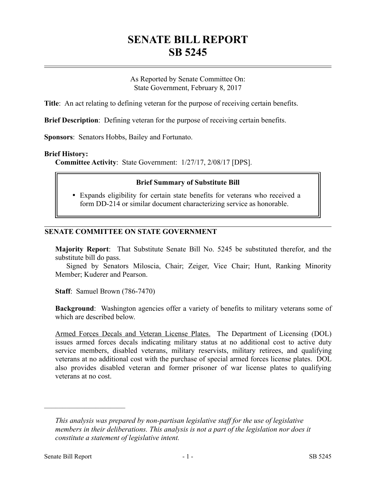# **SENATE BILL REPORT SB 5245**

As Reported by Senate Committee On: State Government, February 8, 2017

**Title**: An act relating to defining veteran for the purpose of receiving certain benefits.

**Brief Description**: Defining veteran for the purpose of receiving certain benefits.

**Sponsors**: Senators Hobbs, Bailey and Fortunato.

#### **Brief History:**

**Committee Activity**: State Government: 1/27/17, 2/08/17 [DPS].

#### **Brief Summary of Substitute Bill**

 Expands eligibility for certain state benefits for veterans who received a form DD-214 or similar document characterizing service as honorable.

### **SENATE COMMITTEE ON STATE GOVERNMENT**

**Majority Report**: That Substitute Senate Bill No. 5245 be substituted therefor, and the substitute bill do pass.

Signed by Senators Miloscia, Chair; Zeiger, Vice Chair; Hunt, Ranking Minority Member; Kuderer and Pearson.

**Staff**: Samuel Brown (786-7470)

**Background**: Washington agencies offer a variety of benefits to military veterans some of which are described below.

Armed Forces Decals and Veteran License Plates. The Department of Licensing (DOL) issues armed forces decals indicating military status at no additional cost to active duty service members, disabled veterans, military reservists, military retirees, and qualifying veterans at no additional cost with the purchase of special armed forces license plates. DOL also provides disabled veteran and former prisoner of war license plates to qualifying veterans at no cost.

––––––––––––––––––––––

*This analysis was prepared by non-partisan legislative staff for the use of legislative members in their deliberations. This analysis is not a part of the legislation nor does it constitute a statement of legislative intent.*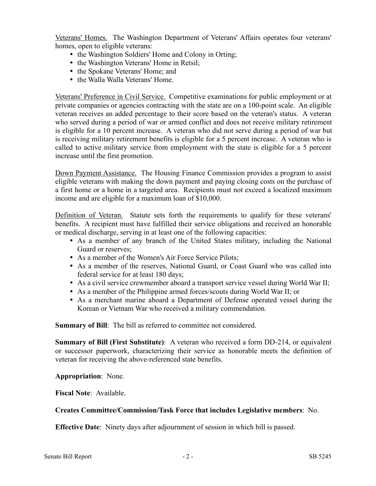Veterans' Homes. The Washington Department of Veterans' Affairs operates four veterans' homes, open to eligible veterans:

- the Washington Soldiers' Home and Colony in Orting;
- the Washington Veterans' Home in Retsil;
- the Spokane Veterans' Home; and
- the Walla Walla Veterans' Home.

Veterans' Preference in Civil Service. Competitive examinations for public employment or at private companies or agencies contracting with the state are on a 100-point scale. An eligible veteran receives an added percentage to their score based on the veteran's status. A veteran who served during a period of war or armed conflict and does not receive military retirement is eligible for a 10 percent increase. A veteran who did not serve during a period of war but is receiving military retirement benefits is eligible for a 5 percent increase. A veteran who is called to active military service from employment with the state is eligible for a 5 percent increase until the first promotion.

Down Payment Assistance. The Housing Finance Commission provides a program to assist eligible veterans with making the down payment and paying closing costs on the purchase of a first home or a home in a targeted area. Recipients must not exceed a localized maximum income and are eligible for a maximum loan of \$10,000.

Definition of Veteran. Statute sets forth the requirements to qualify for these veterans' benefits. A recipient must have fulfilled their service obligations and received an honorable or medical discharge, serving in at least one of the following capacities:

- As a member of any branch of the United States military, including the National Guard or reserves;
- As a member of the Women's Air Force Service Pilots;
- As a member of the reserves, National Guard, or Coast Guard who was called into federal service for at least 180 days;
- As a civil service crewmember aboard a transport service vessel during World War II;
- As a member of the Philippine armed forces/scouts during World War II; or
- As a merchant marine aboard a Department of Defense operated vessel during the Korean or Vietnam War who received a military commendation.

**Summary of Bill**: The bill as referred to committee not considered.

**Summary of Bill (First Substitute)**: A veteran who received a form DD-214, or equivalent or successor paperwork, characterizing their service as honorable meets the definition of veteran for receiving the above-referenced state benefits.

**Appropriation**: None.

**Fiscal Note**: Available.

## **Creates Committee/Commission/Task Force that includes Legislative members**: No.

**Effective Date**: Ninety days after adjournment of session in which bill is passed.